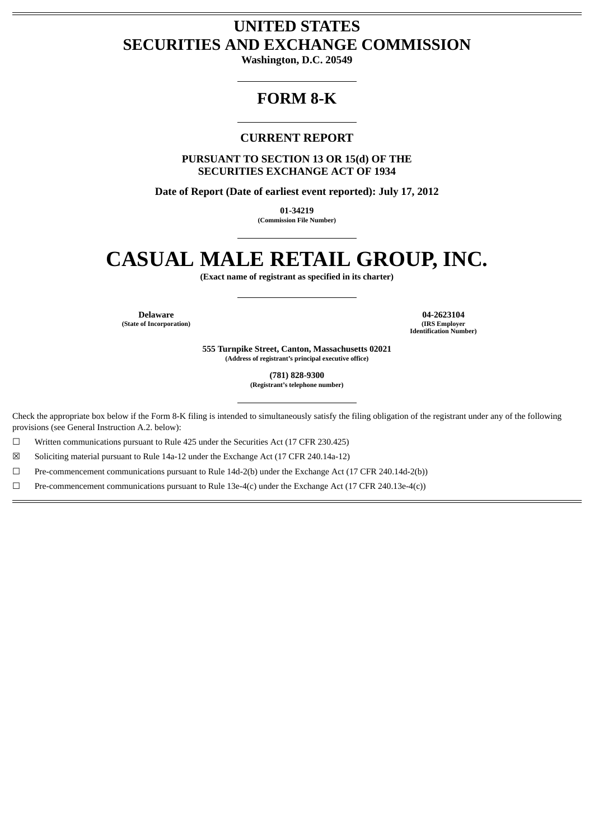# **UNITED STATES SECURITIES AND EXCHANGE COMMISSION**

**Washington, D.C. 20549**

## **FORM 8-K**

### **CURRENT REPORT**

**PURSUANT TO SECTION 13 OR 15(d) OF THE SECURITIES EXCHANGE ACT OF 1934**

**Date of Report (Date of earliest event reported): July 17, 2012**

**01-34219 (Commission File Number)**

# **CASUAL MALE RETAIL GROUP, INC.**

**(Exact name of registrant as specified in its charter)**

**(State of Incorporation) (IRS Employer**

**Delaware 04-2623104 Identification Number)**

> **555 Turnpike Street, Canton, Massachusetts 02021 (Address of registrant's principal executive office)**

> > **(781) 828-9300 (Registrant's telephone number)**

Check the appropriate box below if the Form 8-K filing is intended to simultaneously satisfy the filing obligation of the registrant under any of the following provisions (see General Instruction A.2. below):

☐ Written communications pursuant to Rule 425 under the Securities Act (17 CFR 230.425)

☒ Soliciting material pursuant to Rule 14a-12 under the Exchange Act (17 CFR 240.14a-12)

☐ Pre-commencement communications pursuant to Rule 14d-2(b) under the Exchange Act (17 CFR 240.14d-2(b))

 $\Box$  Pre-commencement communications pursuant to Rule 13e-4(c) under the Exchange Act (17 CFR 240.13e-4(c))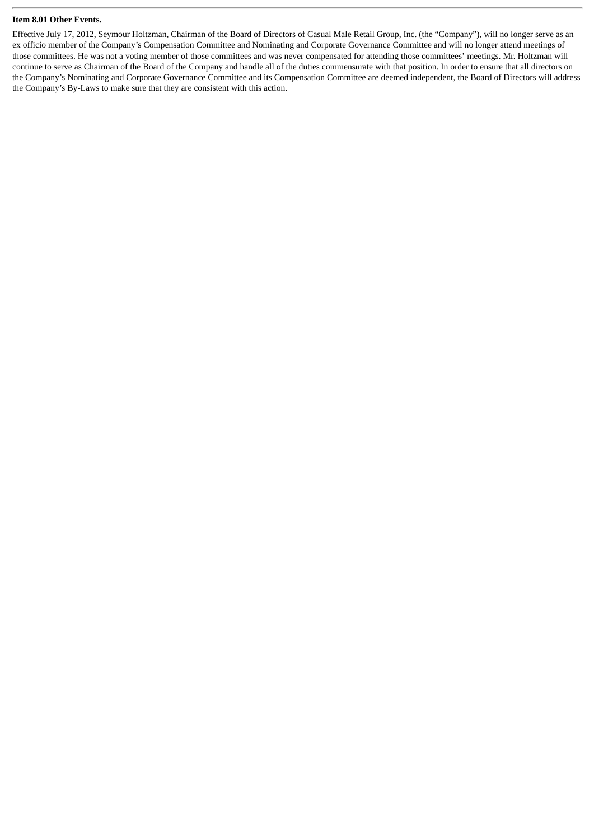#### **Item 8.01 Other Events.**

Effective July 17, 2012, Seymour Holtzman, Chairman of the Board of Directors of Casual Male Retail Group, Inc. (the "Company"), will no longer serve as an ex officio member of the Company's Compensation Committee and Nominating and Corporate Governance Committee and will no longer attend meetings of those committees. He was not a voting member of those committees and was never compensated for attending those committees' meetings. Mr. Holtzman will continue to serve as Chairman of the Board of the Company and handle all of the duties commensurate with that position. In order to ensure that all directors on the Company's Nominating and Corporate Governance Committee and its Compensation Committee are deemed independent, the Board of Directors will address the Company's By-Laws to make sure that they are consistent with this action.